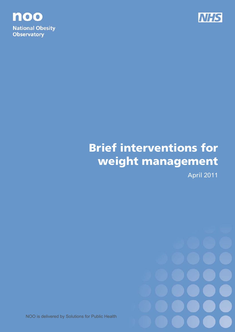



# Brief interventions for weight management

April 2011



NOO is delivered by Solutions for Public Health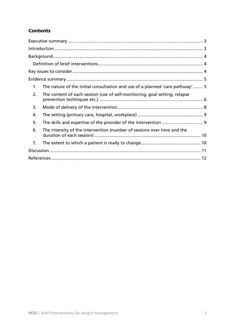# **Contents**

| The nature of the initial consultation and use of a planned 'care pathway'  5<br>1. |  |
|-------------------------------------------------------------------------------------|--|
| The content of each session (use of self-monitoring, goal setting, relapse<br>2.    |  |
| 3.                                                                                  |  |
| 4.                                                                                  |  |
| 5.                                                                                  |  |
| The intensity of the intervention (number of sessions over time and the<br>6.       |  |
| 7.                                                                                  |  |
|                                                                                     |  |
|                                                                                     |  |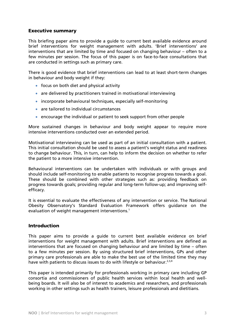# Executive summary

This briefing paper aims to provide a guide to current best available evidence around brief interventions for weight management with adults. 'Brief interventions' are interventions that are limited by time and focused on changing behaviour – often to a few minutes per session. The focus of this paper is on face-to-face consultations that are conducted in settings such as primary care.

There is good evidence that brief interventions can lead to at least short-term changes in behaviour and body weight if they:

- focus on both diet and physical activity
- are delivered by practitioners trained in motivational interviewing
- incorporate behavioural techniques, especially self-monitoring
- are tailored to individual circumstances
- encourage the individual or patient to seek support from other people

More sustained changes in behaviour and body weight appear to require more intensive interventions conducted over an extended period.

Motivational interviewing can be used as part of an initial consultation with a patient. This initial consultation should be used to assess a patient's weight status and readiness to change behaviour. This, in turn, can help to inform the decision on whether to refer the patient to a more intensive intervention.

Behavioural interventions can be undertaken with individuals or with groups and should include self-monitoring to enable patients to recognise progress towards a goal. These should be combined with other strategies such as: providing feedback on progress towards goals; providing regular and long-term follow-up; and improving selfefficacy.

It is essential to evaluate the effectiveness of any intervention or service. The National Obesity Observatory's Standard Evaluation Framework offers guidance on the evaluation of weight management interventions.<sup>1</sup>

# Introduction

This paper aims to provide a guide to current best available evidence on brief interventions for weight management with adults. Brief interventions are defined as interventions that are focused on changing behaviour and are limited by time – often to a few minutes per session. By using structured brief interventions, GPs and other primary care professionals are able to make the best use of the limited time they may have with patients to discuss issues to do with lifestyle or behaviour.<sup>2,3,4</sup>

This paper is intended primarily for professionals working in primary care including GP consortia and commissioners of public health services within local health and wellbeing boards. It will also be of interest to academics and researchers, and professionals working in other settings such as health trainers, leisure professionals and dietitians.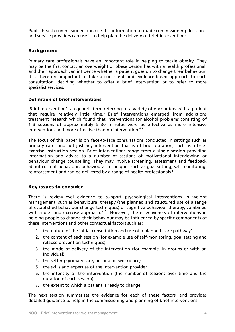Public health commissioners can use this information to guide commissioning decisions, and service providers can use it to help plan the delivery of brief interventions.

# **Background**

Primary care professionals have an important role in helping to tackle obesity. They may be the first contact an overweight or obese person has with a health professional, and their approach can influence whether a patient goes on to change their behaviour. It is therefore important to take a consistent and evidence-based approach to each consultation, deciding whether to offer a brief intervention or to refer to more specialist services.

#### Definition of brief interventions

'Brief intervention' is a generic term referring to a variety of encounters with a patient that require relatively little time.<sup>5</sup> Brief interventions emerged from addictions treatment research which found that interventions for alcohol problems consisting of 1–3 sessions of approximately 5–30 minutes were as effective as more intensive interventions and more effective than no intervention.  $6,7$ 

The focus of this paper is on face-to-face consultations conducted in settings such as primary care, and not just any intervention that is of brief duration, such as a brief exercise instruction session. Brief interventions range from a single session providing information and advice to a number of sessions of motivational interviewing or behaviour change counselling. They may involve screening, assessment and feedback about current behaviour, behavioural techniques such as goal setting, self-monitoring, reinforcement and can be delivered by a range of health professionals.<sup>8</sup>

# Key issues to consider

There is review-level evidence to support psychological interventions in weight management, such as behavioural therapy (the planned and structured use of a range of established behaviour change techniques) or cognitive-behaviour therapy, combined with a diet and exercise approach. $9,10$  However, the effectiveness of interventions in helping people to change their behaviour may be influenced by specific components of these interventions and other contextual factors such as:

- 1. the nature of the initial consultation and use of a planned 'care pathway'
- 2. the content of each session (for example use of self-monitoring, goal setting and relapse prevention techniques)
- 3. the mode of delivery of the intervention (for example, in groups or with an individual)
- 4. the setting (primary care, hospital or workplace)
- 5. the skills and expertise of the intervention provider
- 6. the intensity of the intervention (the number of sessions over time and the duration of each session)
- 7. the extent to which a patient is ready to change

The next section summarises the evidence for each of these factors, and provides detailed guidance to help in the commissioning and planning of brief interventions.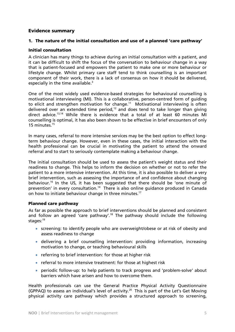# Evidence summary

# 1. The nature of the initial consultation and use of a planned 'care pathway'

#### Initial consultation

A clinician has many things to achieve during an initial consultation with a patient, and it can be difficult to shift the focus of the conversation to behaviour change in a way that is patient-focused and empowers the patient to make one or more behaviour or lifestyle change. Whilst primary care staff tend to think counselling is an important component of their work, there is a lack of consensus on how it should be delivered, especially in the time available. $3$ 

One of the most widely used evidence-based strategies for behavioural counselling is motivational interviewing (MI). This is a collaborative, person-centred form of guiding to elicit and strengthen motivation for change.<sup>11</sup> Motivational interviewing is often delivered over an extended time period, $12$  and does tend to take longer than giving direct advice.13,14 While there is evidence that a total of at least 60 minutes MI counselling is optimal, it has also been shown to be effective in brief encounters of only 15 minutes.15

In many cases, referral to more intensive services may be the best option to effect longterm behaviour change. However, even in these cases, the initial interaction with the health professional can be crucial in motivating the patient to attend the onward referral and to start to seriously contemplate making a behaviour change.

The initial consultation should be used to assess the patient's weight status and their readiness to change. This helps to inform the decision on whether or not to refer the patient to a more intensive intervention. At this time, it is also possible to deliver a very brief intervention, such as assessing the importance of and confidence about changing behaviour.16 In the US, it has been suggested that there should be 'one minute of prevention' in every consultation.<sup>14</sup> There is also online quidance produced in Canada on how to initiate behaviour change in three minutes.<sup>17</sup>

#### Planned care pathway

As far as possible the approach to brief interventions should be planned and consistent and follow an agreed 'care pathway'.<sup>18</sup> The pathway should include the following stages:<sup>19</sup>

- screening: to identify people who are overweight/obese or at risk of obesity and assess readiness to change
- delivering a brief counselling intervention: providing information, increasing motivation to change, or teaching behavioural skills
- referring to brief intervention: for those at higher risk
- referral to more intensive treatment: for those at highest risk
- periodic follow-up: to help patients to track progress and 'problem-solve' about barriers which have arisen and how to overcome them.

Health professionals can use the General Practice Physical Activity Questionnaire (GPPAQ) to assess an individual's level of activity.<sup>20</sup> This is part of the Let's Get Moving physical activity care pathway which provides a structured approach to screening,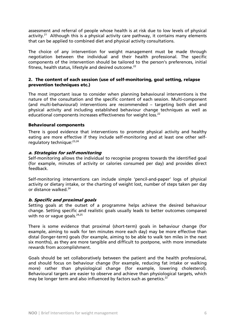assessment and referral of people whose health is at risk due to low levels of physical activity.<sup>21</sup> Although this is a physical activity care pathway, it contains many elements that can be applied to combined diet and physical activity consultations.

The choice of any intervention for weight management must be made through negotiation between the individual and their health professional. The specific components of the intervention should be tailored to the person's preferences, initial fitness, health status, lifestyle and desired outcome.<sup>22</sup>

#### 2. The content of each session (use of self-monitoring, goal setting, relapse prevention techniques etc.)

The most important issue to consider when planning behavioural interventions is the nature of the consultation and the specific content of each session. Multi-component (and multi-behavioural) interventions are recommended – targeting both diet and physical activity and including established behaviour change techniques as well as educational components increases effectiveness for weight loss.<sup>22</sup>

#### Behavioural components

There is good evidence that interventions to promote physical activity and healthy eating are more effective if they include self-monitoring and at least one other selfregulatory technique:<sup>23,24</sup>

#### a. Strategies for self-monitoring

Self-monitoring allows the individual to recognise progress towards the identified goal (for example, minutes of activity or calories consumed per day) and provides direct feedback.

Self-monitoring interventions can include simple 'pencil-and-paper' logs of physical activity or dietary intake, or the charting of weight lost, number of steps taken per day or distance walked.<sup>24</sup>

# b. Specific and proximal goals

Setting goals at the outset of a programme helps achieve the desired behaviour change. Setting specific and realistic goals usually leads to better outcomes compared with no or vague goals.<sup>24,25</sup>

There is some evidence that proximal (short-term) goals in behaviour change (for example, aiming to walk for ten minutes more each day) may be more effective than distal (longer-term) goals (for example, aiming to be able to walk ten miles in the next six months), as they are more tangible and difficult to postpone, with more immediate rewards from accomplishment.

Goals should be set collaboratively between the patient and the health professional, and should focus on behaviour change (for example, reducing fat intake or walking more) rather than physiological change (for example, lowering cholesterol). Behavioural targets are easier to observe and achieve than physiological targets, which may be longer term and also influenced by factors such as genetics.<sup>22</sup>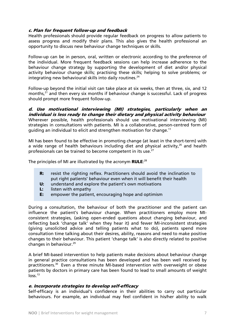#### c. Plan for frequent follow-up and feedback

Health professionals should provide regular feedback on progress to allow patients to assess progress and modify their plans. This also gives the health professional an opportunity to discuss new behaviour change techniques or skills.

Follow-up can be in person, oral, written or electronic according to the preference of the individual. More frequent feedback sessions can help increase adherence to the behaviour change strategy by supporting the development of diet and/or physical activity behaviour change skills; practising these skills; helping to solve problems; or integrating new behavioural skills into daily routines. $24$ 

Follow-up beyond the initial visit can take place at six weeks, then at three, six, and 12 months,<sup>21</sup> and then every six months if behaviour change is successful. Lack of progress should prompt more frequent follow-up.

d. Use motivational interviewing (MI) strategies, particularly when an individual is less ready to change their dietary and physical activity behaviour Wherever possible, health professionals should use motivational interviewing (MI) strategies in consultations with patients. MI is a collaborative, person-centred form of guiding an individual to elicit and strengthen motivation for change.11

MI has been found to be effective in promoting change (at least in the short-term) with a wide range of health behaviours including diet and physical activity.<sup>26</sup> and health professionals can be trained to become competent in its use.<sup>27</sup>

The principles of MI are illustrated by the acronym **RULE**:<sup>28</sup>

- **R:** resist the righting reflex. Practitioners should avoid the inclination to put right patients' behaviour even when it will benefit their health
- U: understand and explore the patient's own motivations
- L: listen with empathy
- E: empower the patient, encouraging hope and optimism

During a consultation, the behaviour of both the practitioner and the patient can influence the patient's behaviour change. When practitioners employ more MIconsistent strategies, (asking open-ended questions about changing behaviour, and reflecting back 'change talk' when they hear it) and fewer MI-inconsistent strategies (giving unsolicited advice and telling patients what to do), patients spend more consultation time talking about their desires, ability, reasons and need to make positive changes to their behaviour. This patient 'change talk' is also directly related to positive changes in behaviour.<sup>29</sup>

A brief MI-based intervention to help patients make decisions about behaviour change in general practice consultations has been developed and has been well received by practitioners.30 Even a three minute MI-based intervention with overweight or obese patients by doctors in primary care has been found to lead to small amounts of weight  $loss.<sup>13</sup>$ 

#### e. Incorporate strategies to develop self-efficacy

Self-efficacy is an individual's confidence in their abilities to carry out particular behaviours. For example, an individual may feel confident in his/her ability to walk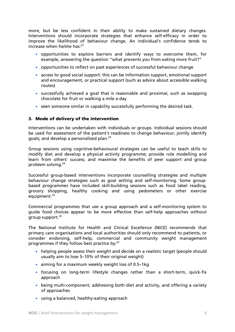more, but be less confident in their ability to make sustained dietary changes. Interventions should incorporate strategies that enhance self-efficacy in order to improve the likelihood of behaviour change. An individual's confidence tends to increase when he/she has:<sup>23</sup>

- opportunities to explore barriers and identify ways to overcome them, for example, answering the question "what prevents you from eating more fruit?"
- opportunities to reflect on past experiences of successful behaviour change
- access to good social support: this can be information support, emotional support and encouragement, or practical support (such as advice about accessible walking routes)
- successfully achieved a goal that is reasonable and proximal, such as swapping chocolate for fruit or walking a mile a day
- seen someone similar in capability successfully performing the desired task.

#### 3. Mode of delivery of the intervention

Interventions can be undertaken with individuals or groups. Individual sessions should be used for assessment of the patient's readiness to change behaviour; jointly identify goals; and develop a personalised plan.<sup>24</sup>

Group sessions using cognitive-behavioural strategies can be useful to teach skills to modify diet and develop a physical activity programme; provide role modelling and learn from others' success; and maximise the benefits of peer support and group problem solving.<sup>24</sup>

Successful group-based interventions incorporate counselling strategies and multiple behaviour change strategies such as goal setting and self-monitoring. Some groupbased programmes have included skill-building sessions such as food label reading, grocery shopping, healthy cooking and using pedometers or other exercise equipment.<sup>24</sup>

Commercial programmes that use a group approach and a self-monitoring system to guide food choices appear to be more effective than self-help approaches without group support. $24$ 

The National Institute for Health and Clinical Excellence (NICE) recommends that primary care organisations and local authorities should only recommend to patients, or consider endorsing, self-help, commercial and community weight management programmes if they follow best practice by:<sup>22</sup>

- helping people assess their weight and decide on a realistic target (people should usually aim to lose 5–10% of their original weight)
- aiming for a maximum weekly weight loss of 0.5–1kg
- focusing on long-term lifestyle changes rather than a short-term, quick-fix approach
- being multi-component, addressing both diet and activity, and offering a variety of approaches
- using a balanced, healthy-eating approach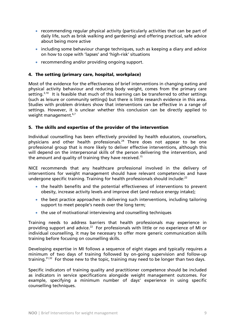- recommending regular physical activity (particularly activities that can be part of daily life, such as brisk walking and gardening) and offering practical, safe advice about being more active
- including some behaviour change techniques, such as keeping a diary and advice on how to cope with 'lapses' and 'high-risk' situations
- recommending and/or providing ongoing support.

# 4. The setting (primary care, hospital, workplace)

Most of the evidence for the effectiveness of brief interventions in changing eating and physical activity behaviour and reducing body weight, comes from the primary care setting. $3,10$  It is feasible that much of this learning can be transferred to other settings (such as leisure or community settings) but there is little research evidence in this area. Studies with problem drinkers show that interventions can be effective in a range of settings. However, it is unclear whether this conclusion can be directly applied to weight management.<sup>6,7</sup>

# 5. The skills and expertise of the provider of the intervention

Individual counselling has been effectively provided by health educators, counsellors, physicians and other health professionals.<sup>24</sup> There does not appear to be one professional group that is more likely to deliver effective interventions, although this will depend on the interpersonal skills of the person delivering the intervention, and the amount and quality of training they have received.<sup>15</sup>

NICE recommends that any healthcare professional involved in the delivery of interventions for weight management should have relevant competencies and have undergone specific training. Training for health professionals should include:<sup>22</sup>

- the health benefits and the potential effectiveness of interventions to prevent obesity, increase activity levels and improve diet (and reduce energy intake);
- the best practice approaches in delivering such interventions, including tailoring support to meet people's needs over the long term;
- the use of motivational interviewing and counselling techniques

Training needs to address barriers that health professionals may experience in providing support and advice.<sup>22</sup> For professionals with little or no experience of MI or individual counselling, it may be necessary to offer more generic communication skills training before focusing on counselling skills.

Developing expertise in MI follows a sequence of eight stages and typically requires a minimum of two days of training followed by on-going supervision and follow-up training. $31,32$  For those new to the topic, training may need to be longer than two days.

Specific indicators of training quality and practitioner competence should be included as indicators in service specifications alongside weight management outcomes. For example, specifying a minimum number of days' experience in using specific counselling techniques.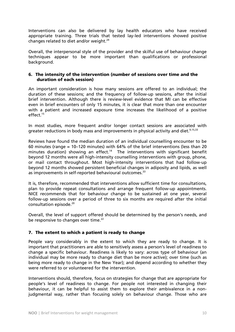Interventions can also be delivered by lay health educators who have received appropriate training. Three trials that tested lay-led interventions showed positive changes related to diet and/or weight. $24$ 

Overall, the interpersonal style of the provider and the skilful use of behaviour change techniques appear to be more important than qualifications or professional background.

#### 6. The intensity of the intervention (number of sessions over time and the duration of each session)

An important consideration is how many sessions are offered to an individual; the duration of these sessions; and the frequency of follow-up sessions, after the initial brief intervention. Although there is review-level evidence that MI can be effective even in brief encounters of only 15 minutes, it is clear that more than one encounter with a patient and increased exposure time increases the likelihood of a positive effect.<sup>15</sup>

In most studies, more frequent and/or longer contact sessions are associated with greater reductions in body mass and improvements in physical activity and diet.<sup>9,15,33</sup>

Reviews have found the median duration of an individual counselling encounter to be 60 minutes (range = 10–120 minutes) with 64% of the brief interventions (less than 20 minutes duration) showing an effect.<sup>14</sup> The interventions with significant benefit beyond 12 months were all high-intensity counselling interventions with group, phone, or mail contact throughout. Most high-intensity interventions that had follow-up beyond 12 months showed persistent beneficial changes in adiposity and lipids, as well as improvements in self-reported behavioural outcomes.<sup>33</sup>

It is, therefore, recommended that interventions allow sufficient time for consultations, plan to provide repeat consultations and arrange frequent follow-up appointments. NICE recommends that for behaviour change to be sustained at one year, several follow-up sessions over a period of three to six months are required after the initial consultation episode.20

Overall, the level of support offered should be determined by the person's needs, and be responsive to changes over time.<sup>22</sup>

# 7. The extent to which a patient is ready to change

People vary considerably in the extent to which they are ready to change. It is important that practitioners are able to sensitively assess a person's level of readiness to change a specific behaviour. Readiness is likely to vary: across type of behaviour (an individual may be more ready to change diet than be more active); over time (such as being more ready to change in the New Year); and depend according to whether they were referred to or volunteered for the intervention.

Interventions should, therefore, focus on strategies for change that are appropriate for people's level of readiness to change. For people not interested in changing their behaviour, it can be helpful to assist them to explore their ambivalence in a nonjudgmental way, rather than focusing solely on behaviour change. Those who are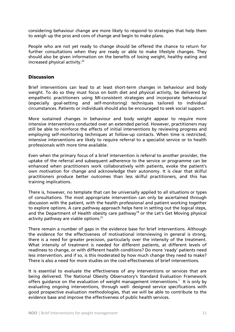considering behaviour change are more likely to respond to strategies that help them to weigh up the pros and cons of change and begin to make plans.

People who are not yet ready to change should be offered the chance to return for further consultations when they are ready or able to make lifestyle changes. They should also be given information on the benefits of losing weight, healthy eating and increased physical activity.<sup>22</sup>

#### **Discussion**

Brief interventions can lead to at least short-term changes in behaviour and body weight. To do so they must focus on both diet and physical activity, be delivered by empathetic practitioners using MI-consistent strategies and incorporate behavioural (especially goal-setting and self-monitoring) techniques tailored to individual circumstances. Patients or individuals should also be encouraged to seek social support.

More sustained changes in behaviour and body weight appear to require more intensive interventions conducted over an extended period. However, practitioners may still be able to reinforce the effects of initial interventions by reviewing progress and employing self-monitoring techniques at follow-up contacts. When time is restricted, intensive interventions are likely to require referral to a specialist service or to health professionals with more time available.

Even when the primary focus of a brief intervention is referral to another provider, the uptake of the referral and subsequent adherence to the service or programme can be enhanced when practitioners work collaboratively with patients, evoke the patient's own motivation for change and acknowledge their autonomy. It is clear that skilful practitioners produce better outcomes than less skilful practitioners, and this has training implications.

There is, however, no template that can be universally applied to all situations or types of consultations. The most appropriate intervention can only be ascertained through discussion with the patient, with the health professional and patient working together to explore options. A care pathway approach helps here in setting out the logical steps, and the Department of Health obesity care pathway<sup>18</sup> or the Let's Get Moving physical activity pathway are viable options.<sup>21</sup>

There remain a number of gaps in the evidence base for brief interventions. Although the evidence for the effectiveness of motivational interviewing in general is strong, there is a need for greater precision, particularly over the intensity of the treatment. What intensity of treatment is needed for different patients, at different levels of readiness to change, or with different health conditions? Do more 'ready' patients need less intervention, and if so, is this moderated by how much change they need to make? There is also a need for more studies on the cost-effectiveness of brief interventions.

It is essential to evaluate the effectiveness of any interventions or services that are being delivered. The National Obesity Observatory's Standard Evaluation Framework offers guidance on the evaluation of weight management interventions.<sup>1</sup> It is only by evaluating ongoing interventions, through well- designed service specifications with good prospective evaluation methodologies, that we will be able to contribute to the evidence base and improve the effectiveness of public health services.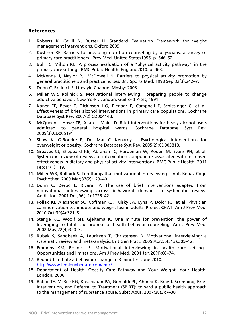# **References**

- 1. Roberts K, Cavill N, Rutter H. Standard Evaluation Framework for weight management interventions. Oxford 2009.
- 2. Kushner RF. Barriers to providing nutrition counseling by physicians: a survey of primary care practitioners. Prev Med. United States1995. p. 546–52.
- 3. Bull FC, Milton KE. A process evaluation of a "physical activity pathway" in the primary care setting. BMC Public Health. England2010. p. 463.
- 4. McKenna J, Naylor PJ, McDowell N. Barriers to physical activity promotion by general practitioners and practice nurses. Br J Sports Med. 1998 Sep;32(3):242–7.
- 5. Dunn C, Rollnick S. Lifestyle Change: Mosby; 2003.
- 6. Miller WR, Rollnick S. Motivational interviewing : preparing people to change addictive behavior. New York ; London: Guilford Press; 1991.
- 7. Kaner EF, Beyer F, Dickinson HO, Pienaar E, Campbell F, Schlesinger C, et al. Effectiveness of brief alcohol interventions in primary care populations. Cochrane Database Syst Rev. 2007(2):CD004148.
- 8. McQueen J, Howe TE, Allan L, Mains D. Brief interventions for heavy alcohol users admitted to general hospital wards. Cochrane Database Syst Rev. 2009(3):CD005191.
- 9. Shaw K, O'Rourke P, Del Mar C, Kenardy J. Psychological interventions for overweight or obesity. Cochrane Database Syst Rev. 2005(2):CD003818.
- 10. Greaves CJ, Sheppard KE, Abraham C, Hardeman W, Roden M, Evans PH, et al. Systematic review of reviews of intervention components associated with increased effectiveness in dietary and physical activity interventions. BMC Public Health. 2011 Feb;11(1):119.
- 11. Miller WR, Rollnick S. Ten things that motivational interviewing is not. Behav Cogn Psychother. 2009 Mar;37(2):129–40.
- 12. Dunn C, Deroo L, Rivara FP. The use of brief interventions adapted from motivational interviewing across behavioral domains: a systematic review. Addiction. 2001 Dec;96(12):1725–42.
- 13. Pollak KI, Alexander SC, Coffman CJ, Tulsky JA, Lyna P, Dolor RJ, et al. Physician communication techniques and weight loss in adults: Project CHAT. Am J Prev Med. 2010 Oct;39(4):321–8.
- 14. Stange KC, Woolf SH, Gjeltema K. One minute for prevention: the power of leveraging to fulfill the promise of health behavior counseling. Am J Prev Med. 2002 May;22(4):320–3.
- 15. Rubak S, Sandbaek A, Lauritzen T, Christensen B. Motivational interviewing: a systematic review and meta-analysis. Br J Gen Pract. 2005 Apr;55(513):305–12.
- 16. Emmons KM, Rollnick S. Motivational interviewing in health care settings. Opportunities and limitations. Am J Prev Med. 2001 Jan;20(1):68–74.
- 17. Bedard J. Initiate a behaviour change in 3 minutes. June 2010. http://www.lemieuxbedard.com/emc/
- 18. Department of Health. Obesity Care Pathway and Your Weight, Your Health. London; 2006.
- 19. Babor TF, McRee BG, Kassebaum PA, Grimaldi PL, Ahmed K, Bray J. Screening, Brief Intervention, and Referral to Treatment (SBIRT): toward a public health approach to the management of substance abuse. Subst Abus. 2007;28(3):7–30.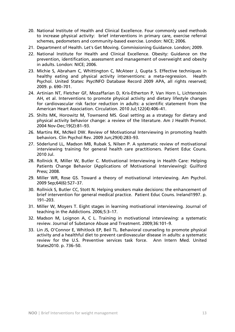- 20. National Institute of Health and Clinical Excellence. Four commonly used methods to increase physical activity: brief interventions in primary care, exercise referral schemes, pedometers and community-based exercise. London: NICE; 2006.
- 21. Department of Health. Let's Get Moving. Commissioning Guidance. London; 2009.
- 22. National Institute for Health and Clinical Excellence. Obesity: Guidance on the prevention, identification, assessment and management of overweight and obesity in adults. London: NICE; 2006.
- 23. Michie S, Abraham C, Whittington C, McAteer J, Gupta S. Effective techniques in healthy eating and physical activity interventions: a meta-regression. Health Psychol. United States: PsycINFO Database Record 2009 APA, all rights reserved; 2009. p. 690–701.
- 24. Artinian NT, Fletcher GF, Mozaffarian D, Kris-Etherton P, Van Horn L, Lichtenstein AH, et al. Interventions to promote physical activity and dietary lifestyle changes for cardiovascular risk factor reduction in adults: a scientific statement from the American Heart Association. Circulation. 2010 Jul;122(4):406–41.
- 25. Shilts MK, Horowitz M, Townsend MS. Goal setting as a strategy for dietary and physical activity behavior change: a review of the literature. Am J Health Promot. 2004 Nov-Dec;19(2):81–93.
- 26. Martins RK, McNeil DW. Review of Motivational Interviewing in promoting health behaviors. Clin Psychol Rev. 2009 Jun;29(4):283–93.
- 27. Söderlund LL, Madson MB, Rubak S, Nilsen P. A systematic review of motivational interviewing training for general health care practitioners. Patient Educ Couns. 2010 Jul.
- 28. Rollnick R, Miller W, Butler C. Motivational Interviewing in Health Care: Helping Patients Change Behavior (Applications of Motivational Interviewing): Guilford Press; 2008.
- 29. Miller WR, Rose GS. Toward a theory of motivational interviewing. Am Psychol. 2009 Sep;64(6):527–37.
- 30. Rollnick S, Butler CC, Stott N. Helping smokers make decisions: the enhancement of brief intervention for general medical practice. Patient Educ Couns. Ireland1997. p. 191–203.
- 31. Miller W, Moyers T. Eight stages in learning motivational interviewing. Journal of teaching in the Addictions. 2006;5:3–17.
- 32. Madson M, Loignon A, C L. Training in motivational interviewing: a systematic review. Journal of Substance Abuse and Treatment. 2009;36:101–9.
- 33. Lin JS, O'Connor E, Whitlock EP, Beil TL. Behavioral counseling to promote physical activity and a healthful diet to prevent cardiovascular disease in adults: a systematic review for the U.S. Preventive services task force. Ann Intern Med. United States2010. p. 736–50.